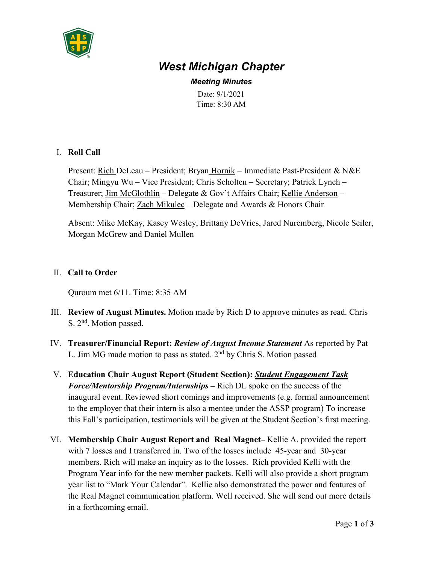

# *West Michigan Chapter*

*Meeting Minutes* Date: 9/1/2021 Time: 8:30 AM

## I. **Roll Call**

Present: <u>Rich</u> DeLeau – President; Bryan Hornik – Immediate Past-President & N&E Chair; Mingyu Wu – Vice President; Chris Scholten – Secretary; Patrick Lynch – Treasurer; Jim McGlothlin – Delegate & Gov't Affairs Chair; Kellie Anderson – Membership Chair; Zach Mikulec - Delegate and Awards & Honors Chair

Absent: Mike McKay, Kasey Wesley, Brittany DeVries, Jared Nuremberg, Nicole Seiler, Morgan McGrew and Daniel Mullen

## II. **Call to Order**

Quroum met 6/11. Time: 8:35 AM

- III. **Review of August Minutes.** Motion made by Rich D to approve minutes as read. Chris S. 2<sup>nd</sup>. Motion passed.
- IV. **Treasurer/Financial Report:** *Review of August Income Statement* As reported by Pat L. Jim MG made motion to pass as stated.  $2<sup>nd</sup>$  by Chris S. Motion passed
- V. **Education Chair August Report (Student Section):** *Student Engagement Task Force/Mentorship Program/Internships* **–** Rich DL spoke on the success of the inaugural event. Reviewed short comings and improvements (e.g. formal announcement to the employer that their intern is also a mentee under the ASSP program) To increase this Fall's participation, testimonials will be given at the Student Section's first meeting.
- VI. **Membership Chair August Report and Real Magnet–** Kellie A. provided the report with 7 losses and I transferred in. Two of the losses include 45-year and 30-year members. Rich will make an inquiry as to the losses. Rich provided Kelli with the Program Year info for the new member packets. Kelli will also provide a short program year list to "Mark Your Calendar". Kellie also demonstrated the power and features of the Real Magnet communication platform. Well received. She will send out more details in a forthcoming email.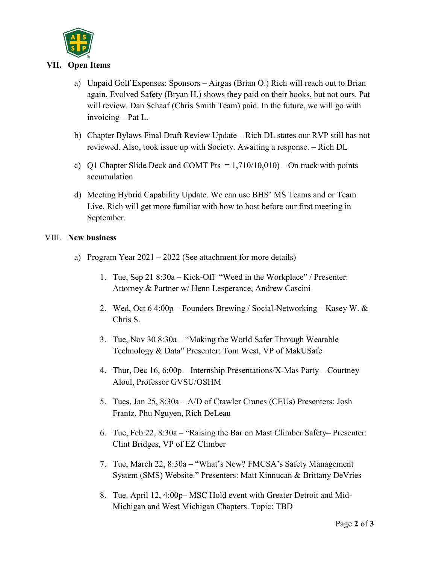

#### **VII. Open Items**

- a) Unpaid Golf Expenses: Sponsors Airgas (Brian O.) Rich will reach out to Brian again, Evolved Safety (Bryan H.) shows they paid on their books, but not ours. Pat will review. Dan Schaaf (Chris Smith Team) paid. In the future, we will go with invoicing – Pat L.
- b) Chapter Bylaws Final Draft Review Update Rich DL states our RVP still has not reviewed. Also, took issue up with Society. Awaiting a response. – Rich DL
- c) Q1 Chapter Slide Deck and COMT Pts  $= 1,710/10,010$  On track with points accumulation
- d) Meeting Hybrid Capability Update. We can use BHS' MS Teams and or Team Live. Rich will get more familiar with how to host before our first meeting in September.

#### VIII. **New business**

- a) Program Year 2021 2022 (See attachment for more details)
	- 1. Tue, Sep 21 8:30a Kick-Off "Weed in the Workplace" / Presenter: Attorney & Partner w/ Henn Lesperance, Andrew Cascini
	- 2. Wed, Oct 6 4:00p Founders Brewing / Social-Networking Kasey W. & Chris S.
	- 3. Tue, Nov 30 8:30a "Making the World Safer Through Wearable Technology & Data" Presenter: Tom West, VP of MakUSafe
	- 4. Thur, Dec 16, 6:00p Internship Presentations/X-Mas Party Courtney Aloul, Professor GVSU/OSHM
	- 5. Tues, Jan 25, 8:30a A/D of Crawler Cranes (CEUs) Presenters: Josh Frantz, Phu Nguyen, Rich DeLeau
	- 6. Tue, Feb 22, 8:30a "Raising the Bar on Mast Climber Safety– Presenter: Clint Bridges, VP of EZ Climber
	- 7. Tue, March 22, 8:30a "What's New? FMCSA's Safety Management System (SMS) Website." Presenters: Matt Kinnucan & Brittany DeVries
	- 8. Tue. April 12, 4:00p– MSC Hold event with Greater Detroit and Mid-Michigan and West Michigan Chapters. Topic: TBD